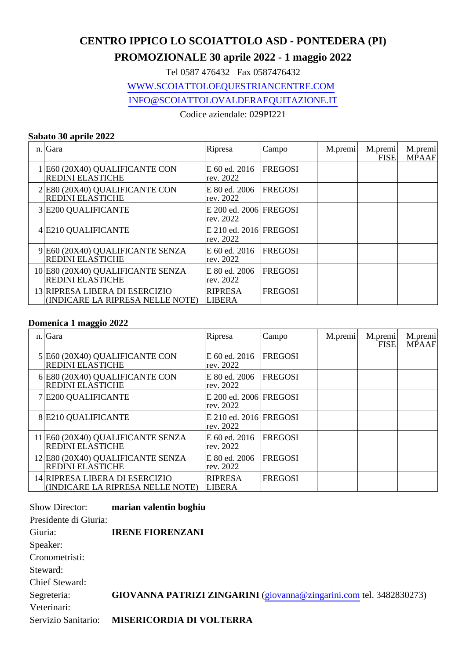# **CENTRO IPPICO LO SCOIATTOLO ASD - PONTEDERA (PI)**

## **PROMOZIONALE 30 aprile 2022 - 1 maggio 2022**

Tel 0587 476432 Fax 0587476432

WWW.SCOIATTOLOEQUESTRIANCENTRE.COM

INFO@SCOIATTOLOVALDERAEQUITAZIONE.IT

Codice aziendale: 029PI221

### **Sabato 30 aprile 2022**

| n. Gara                                                            | Ripresa                               | Campo          | M.premi | M.premi<br><b>FISE</b> | M.premi<br><b>MPAAF</b> |
|--------------------------------------------------------------------|---------------------------------------|----------------|---------|------------------------|-------------------------|
| 1 E60 (20X40) QUALIFICANTE CON<br><b>REDINI ELASTICHE</b>          | E 60 ed. 2016<br>rev. 2022            | <b>FREGOSI</b> |         |                        |                         |
| 2 E80 (20X40) QUALIFICANTE CON<br><b>REDINI ELASTICHE</b>          | E 80 ed. 2006<br>rev. 2022            | <b>FREGOSI</b> |         |                        |                         |
| 3 E200 QUALIFICANTE                                                | E 200 ed. 2006   FREGOSI<br>rev. 2022 |                |         |                        |                         |
| 4 E210 QUALIFICANTE                                                | E 210 ed. 2016 FREGOSI<br>rev. 2022   |                |         |                        |                         |
| 9 E60 (20X40) QUALIFICANTE SENZA<br><b>REDINI ELASTICHE</b>        | E 60 ed. 2016<br>rev. 2022            | <b>FREGOSI</b> |         |                        |                         |
| 10 E80 (20X40) QUALIFICANTE SENZA<br><b>REDINI ELASTICHE</b>       | E 80 ed. 2006<br>rev. 2022            | <b>FREGOSI</b> |         |                        |                         |
| 13 RIPRESA LIBERA DI ESERCIZIO<br>(INDICARE LA RIPRESA NELLE NOTE) | RIPRESA<br><b>LIBERA</b>              | <b>FREGOSI</b> |         |                        |                         |

#### **Domenica 1 maggio 2022**

| n. Gara                                                            | Ripresa                             | Campo          | M.premi | M.premi<br><b>FISE</b> | M.premi<br><b>MPAAF</b> |
|--------------------------------------------------------------------|-------------------------------------|----------------|---------|------------------------|-------------------------|
| 5 E60 (20X40) QUALIFICANTE CON<br><b>REDINI ELASTICHE</b>          | E 60 ed. 2016<br>rev. 2022          | <b>FREGOSI</b> |         |                        |                         |
| 6 E80 (20X40) QUALIFICANTE CON<br><b>REDINI ELASTICHE</b>          | E 80 ed. 2006<br>rev. 2022          | <b>FREGOSI</b> |         |                        |                         |
| 7 E200 QUALIFICANTE                                                | E 200 ed. 2006 FREGOSI<br>rev. 2022 |                |         |                        |                         |
| 8 E210 QUALIFICANTE                                                | E 210 ed. 2016 FREGOSI<br>rev. 2022 |                |         |                        |                         |
| 11 E60 (20X40) QUALIFICANTE SENZA<br><b>REDINI ELASTICHE</b>       | E 60 ed. 2016<br>rev. 2022          | <b>FREGOSI</b> |         |                        |                         |
| 12 E80 (20X40) QUALIFICANTE SENZA<br><b>REDINI ELASTICHE</b>       | E 80 ed. 2006<br>rev. 2022          | <b>FREGOSI</b> |         |                        |                         |
| 14 RIPRESA LIBERA DI ESERCIZIO<br>(INDICARE LA RIPRESA NELLE NOTE) | RIPRESA<br><b>LIBERA</b>            | <b>FREGOSI</b> |         |                        |                         |

| Show Director:        | marian valentin boghiu                                              |
|-----------------------|---------------------------------------------------------------------|
| Presidente di Giuria: |                                                                     |
| Giuria:               | <b>IRENE FIORENZANI</b>                                             |
| Speaker:              |                                                                     |
| Cronometristi:        |                                                                     |
| Steward:              |                                                                     |
| <b>Chief Steward:</b> |                                                                     |
| Segreteria:           | GIOVANNA PATRIZI ZINGARINI (giovanna@zingarini.com tel. 3482830273) |
| Veterinari:           |                                                                     |
| Servizio Sanitario:   | <b>MISERICORDIA DI VOLTERRA</b>                                     |